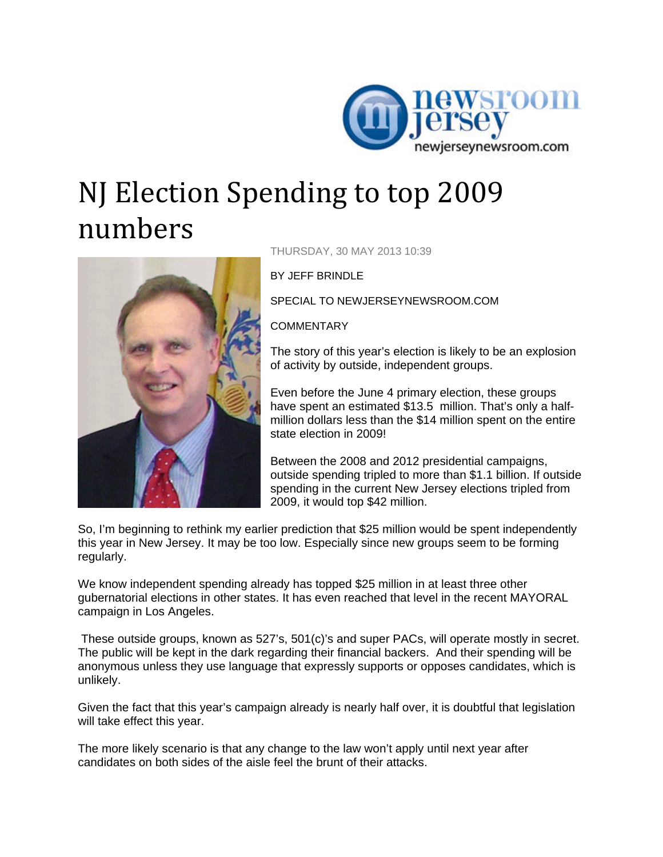

## NJ Election Spending to top 2009 numbers



THURSDAY, 30 MAY 2013 10:39

BY JEFF BRINDLE

SPECIAL TO NEWJERSEYNEWSROOM.COM

**COMMENTARY** 

The story of this year's election is likely to be an explosion of activity by outside, independent groups.

Even before the June 4 primary election, these groups have spent an estimated \$13.5 million. That's only a halfmillion dollars less than the \$14 million spent on the entire state election in 2009!

Between the 2008 and 2012 presidential campaigns, outside spending tripled to more than \$1.1 billion. If outside spending in the current New Jersey elections tripled from 2009, it would top \$42 million.

So, I'm beginning to rethink my earlier prediction that \$25 million would be spent independently this year in New Jersey. It may be too low. Especially since new groups seem to be forming regularly.

We know independent spending already has topped \$25 million in at least three other gubernatorial elections in other states. It has even reached that level in the recent MAYORAL campaign in Los Angeles.

 These outside groups, known as 527's, 501(c)'s and super PACs, will operate mostly in secret. The public will be kept in the dark regarding their financial backers. And their spending will be anonymous unless they use language that expressly supports or opposes candidates, which is unlikely.

Given the fact that this year's campaign already is nearly half over, it is doubtful that legislation will take effect this year.

The more likely scenario is that any change to the law won't apply until next year after candidates on both sides of the aisle feel the brunt of their attacks.